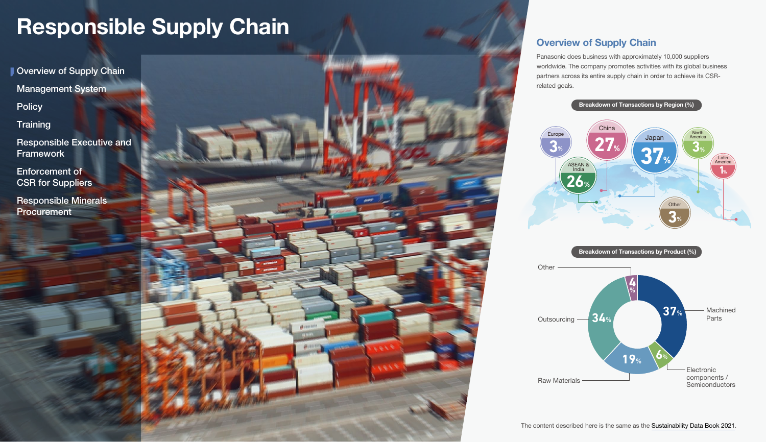<span id="page-0-0"></span>Overview of Supply Chain

[Management System](#page-1-0)

**[Policy](#page-1-0)** 

**[Training](#page-2-0)** 

[Responsible Executive and](#page-2-0)  Framework

Enforcement of [CSR for Suppliers](#page-2-0)

[Responsible Minerals](#page-4-0)  **Procurement** 



### Overview of Supply Chain

Panasonic does business with approximately 10,000 suppliers worldwide. The company promotes activities with its global business partners across its entire supply chain in order to achieve its CSRrelated goals.



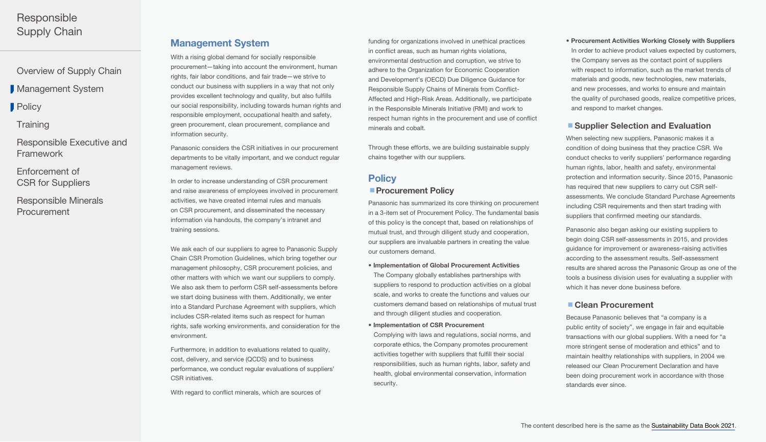<span id="page-1-0"></span>[Overview of Supply Chain](#page-0-0)

**Management System** 

**Policy** 

**[Training](#page-2-0)** 

[Responsible Executive and](#page-2-0)  Framework

Enforcement of [CSR for Suppliers](#page-2-0)

[Responsible Minerals](#page-4-0)  **Procurement** 

### Management System

With a rising global demand for socially responsible procurement—taking into account the environment, human rights, fair labor conditions, and fair trade—we strive to conduct our business with suppliers in a way that not only provides excellent technology and quality, but also fulfills our social responsibility, including towards human rights and responsible employment, occupational health and safety, green procurement, clean procurement, compliance and information security.

Panasonic considers the CSR initiatives in our procurement departments to be vitally important, and we conduct regular management reviews.

In order to increase understanding of CSR procurement and raise awareness of employees involved in procurement activities, we have created internal rules and manuals on CSR procurement, and disseminated the necessary information via handouts, the company's intranet and training sessions.

We ask each of our suppliers to agree to Panasonic Supply Chain CSR Promotion Guidelines, which bring together our management philosophy, CSR procurement policies, and other matters with which we want our suppliers to comply. We also ask them to perform CSR self-assessments before we start doing business with them. Additionally, we enter into a Standard Purchase Agreement with suppliers, which includes CSR-related items such as respect for human rights, safe working environments, and consideration for the environment.

Furthermore, in addition to evaluations related to quality, cost, delivery, and service (QCDS) and to business performance, we conduct regular evaluations of suppliers' CSR initiatives.

With regard to conflict minerals, which are sources of

funding for organizations involved in unethical practices in conflict areas, such as human rights violations, environmental destruction and corruption, we strive to adhere to the Organization for Economic Cooperation and Development's (OECD) Due Diligence Guidance for Responsible Supply Chains of Minerals from Conflict-Affected and High-Risk Areas. Additionally, we participate in the Responsible Minerals Initiative (RMI) and work to respect human rights in the procurement and use of conflict minerals and cobalt.

Through these efforts, we are building sustainable supply chains together with our suppliers.

# **Policy**

### **Procurement Policy**

Panasonic has summarized its core thinking on procurement in a 3-item set of Procurement Policy. The fundamental basis of this policy is the concept that, based on relationships of mutual trust, and through diligent study and cooperation, our suppliers are invaluable partners in creating the value our customers demand.

- Implementation of Global Procurement Activities The Company globally establishes partnerships with suppliers to respond to production activities on a global scale, and works to create the functions and values our customers demand based on relationships of mutual trust and through diligent studies and cooperation.
- Implementation of CSR Procurement Complying with laws and regulations, social norms, and corporate ethics, the Company promotes procurement activities together with suppliers that fulfill their social responsibilities, such as human rights, labor, safety and health, global environmental conservation, information security.

### • Procurement Activities Working Closely with Suppliers

In order to achieve product values expected by customers, the Company serves as the contact point of suppliers with respect to information, such as the market trends of materials and goods, new technologies, new materials, and new processes, and works to ensure and maintain the quality of purchased goods, realize competitive prices, and respond to market changes.

#### ■ Supplier Selection and Evaluation

When selecting new suppliers, Panasonic makes it a condition of doing business that they practice CSR. We conduct checks to verify suppliers' performance regarding human rights, labor, health and safety, environmental protection and information security. Since 2015, Panasonic has required that new suppliers to carry out CSR selfassessments. We conclude Standard Purchase Agreements including CSR requirements and then start trading with suppliers that confirmed meeting our standards.

Panasonic also began asking our existing suppliers to begin doing CSR self-assessments in 2015, and provides guidance for improvement or awareness-raising activities according to the assessment results. Self-assessment results are shared across the Panasonic Group as one of the tools a business division uses for evaluating a supplier with which it has never done business before.

#### ■ Clean Procurement

Because Panasonic believes that "a company is a public entity of society", we engage in fair and equitable transactions with our global suppliers. With a need for "a more stringent sense of moderation and ethics" and to maintain healthy relationships with suppliers, in 2004 we released our Clean Procurement Declaration and have been doing procurement work in accordance with those standards ever since.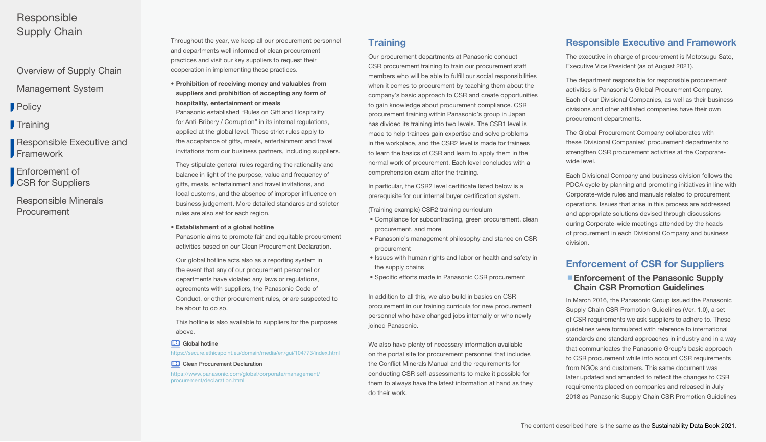<span id="page-2-0"></span>[Overview of Supply Chain](#page-0-0)

[Management System](#page-1-0)

**[Policy](#page-1-0)** 

**Training** 

Responsible Executive and **Framework** 

Enforcement of CSR for Suppliers

[Responsible Minerals](#page-4-0)  **Procurement** 

Throughout the year, we keep all our procurement personnel and departments well informed of clean procurement practices and visit our key suppliers to request their cooperation in implementing these practices.

• Prohibition of receiving money and valuables from suppliers and prohibition of accepting any form of hospitality, entertainment or meals Panasonic established "Rules on Gift and Hospitality for Anti-Bribery / Corruption" in its internal regulations, applied at the global level. These strict rules apply to the acceptance of gifts, meals, entertainment and travel invitations from our business partners, including suppliers.

They stipulate general rules regarding the rationality and balance in light of the purpose, value and frequency of gifts, meals, entertainment and travel invitations, and local customs, and the absence of improper influence on business judgement. More detailed standards and stricter rules are also set for each region.

#### • Establishment of a global hotline

Panasonic aims to promote fair and equitable procurement activities based on our Clean Procurement Declaration.

Our global hotline acts also as a reporting system in the event that any of our procurement personnel or departments have violated any laws or regulations, agreements with suppliers, the Panasonic Code of Conduct, or other procurement rules, or are suspected to be about to do so.

This hotline is also available to suppliers for the purposes above.

**WEB** [Global hotline](https://secure.ethicspoint.eu/domain/media/en/gui/104773/index.html)

<https://secure.ethicspoint.eu/domain/media/en/gui/104773/index.html>

#### **WEB** [Clean Procurement Declaration](https://www.panasonic.com/global/corporate/management/procurement/declaration.html)

[https://www.panasonic.com/global/corporate/management/](https://www.panasonic.com/global/corporate/management/procurement/declaration.html) [procurement/declaration.html](https://www.panasonic.com/global/corporate/management/procurement/declaration.html)

### **Training**

Our procurement departments at Panasonic conduct CSR procurement training to train our procurement staff members who will be able to fulfill our social responsibilities when it comes to procurement by teaching them about the company's basic approach to CSR and create opportunities to gain knowledge about procurement compliance. CSR procurement training within Panasonic's group in Japan has divided its training into two levels. The CSR1 level is made to help trainees gain expertise and solve problems in the workplace, and the CSR2 level is made for trainees to learn the basics of CSR and learn to apply them in the normal work of procurement. Each level concludes with a comprehension exam after the training.

In particular, the CSR2 level certificate listed below is a prerequisite for our internal buyer certification system.

(Training example) CSR2 training curriculum

- Compliance for subcontracting, green procurement, clean procurement, and more
- Panasonic's management philosophy and stance on CSR procurement
- Issues with human rights and labor or health and safety in the supply chains
- Specific efforts made in Panasonic CSR procurement

In addition to all this, we also build in basics on CSR procurement in our training curricula for new procurement personnel who have changed jobs internally or who newly ioined Panasonic.

We also have plenty of necessary information available on the portal site for procurement personnel that includes the Conflict Minerals Manual and the requirements for conducting CSR self-assessments to make it possible for them to always have the latest information at hand as they do their work.

### Responsible Executive and Framework

The executive in charge of procurement is Mototsugu Sato, Executive Vice President (as of August 2021).

The department responsible for responsible procurement activities is Panasonic's Global Procurement Company. Each of our Divisional Companies, as well as their business divisions and other affiliated companies have their own procurement departments.

The Global Procurement Company collaborates with these Divisional Companies' procurement departments to strengthen CSR procurement activities at the Corporatewide level.

Each Divisional Company and business division follows the PDCA cycle by planning and promoting initiatives in line with Corporate-wide rules and manuals related to procurement operations. Issues that arise in this process are addressed and appropriate solutions devised through discussions during Corporate-wide meetings attended by the heads of procurement in each Divisional Company and business division.

### Enforcement of CSR for Suppliers

### ■ Enforcement of the Panasonic Supply Chain CSR Promotion Guidelines

In March 2016, the Panasonic Group issued the Panasonic Supply Chain CSR Promotion Guidelines (Ver. 1.0), a set of CSR requirements we ask suppliers to adhere to. These guidelines were formulated with reference to international standards and standard approaches in industry and in a way that communicates the Panasonic Group's basic approach to CSR procurement while into account CSR requirements from NGOs and customers. This same document was later updated and amended to reflect the changes to CSR requirements placed on companies and released in July 2018 as Panasonic Supply Chain CSR Promotion Guidelines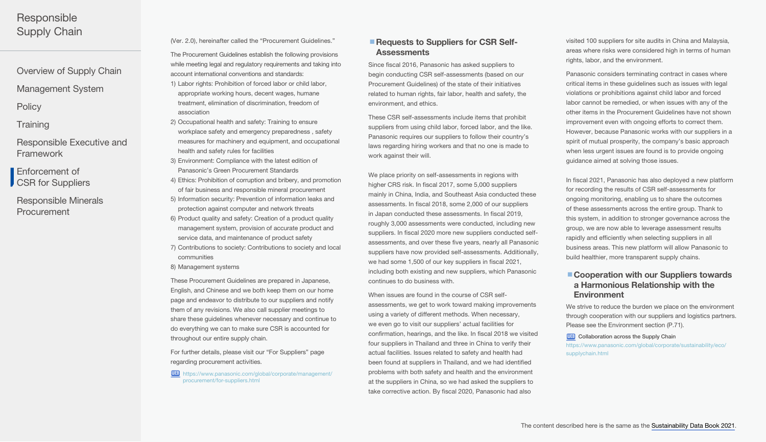- [Overview of Supply Chain](#page-0-0)
- [Management System](#page-1-0)
- **[Policy](#page-1-0)**
- **[Training](#page-2-0)**
- [Responsible Executive and](#page-2-0)  Framework
- Enforcement of [CSR for Suppliers](#page-2-0)
- [Responsible Minerals](#page-4-0)  **Procurement**

(Ver. 2.0), hereinafter called the "Procurement Guidelines."

The Procurement Guidelines establish the following provisions while meeting legal and regulatory requirements and taking into account international conventions and standards: 1) Labor rights: Prohibition of forced labor or child labor, appropriate working hours, decent wages, humane treatment, elimination of discrimination, freedom of

- 2) Occupational health and safety: Training to ensure workplace safety and emergency preparedness , safety measures for machinery and equipment, and occupational health and safety rules for facilities
- 3) Environment: Compliance with the latest edition of Panasonic's Green Procurement Standards
- 4) Ethics: Prohibition of corruption and bribery, and promotion of fair business and responsible mineral procurement
- 5) Information security: Prevention of information leaks and protection against computer and network threats
- 6) Product quality and safety: Creation of a product quality management system, provision of accurate product and service data, and maintenance of product safety
- 7) Contributions to society: Contributions to society and local communities
- 8) Management systems

association

These Procurement Guidelines are prepared in Japanese, English, and Chinese and we both keep them on our home page and endeavor to distribute to our suppliers and notify them of any revisions. We also call supplier meetings to share these guidelines whenever necessary and continue to do everything we can to make sure CSR is accounted for throughout our entire supply chain.

For further details, please visit our "For Suppliers" page regarding procurement activities.

WEB [https://www.panasonic.com/global/corporate/management/](https://www.panasonic.com/global/corporate/management/procurement/for-suppliers.html) [procurement/for-suppliers.html](https://www.panasonic.com/global/corporate/management/procurement/for-suppliers.html)

### ■ Requests to Suppliers for CSR Self-**Assessments**

Since fiscal 2016, Panasonic has asked suppliers to begin conducting CSR self-assessments (based on our Procurement Guidelines) of the state of their initiatives related to human rights, fair labor, health and safety, the environment, and ethics.

These CSR self-assessments include items that prohibit suppliers from using child labor, forced labor, and the like. Panasonic requires our suppliers to follow their country's laws regarding hiring workers and that no one is made to work against their will.

We place priority on self-assessments in regions with higher CRS risk. In fiscal 2017, some 5,000 suppliers mainly in China, India, and Southeast Asia conducted these assessments. In fiscal 2018, some 2,000 of our suppliers in Japan conducted these assessments. In fiscal 2019, roughly 3,000 assessments were conducted, including new suppliers. In fiscal 2020 more new suppliers conducted selfassessments, and over these five years, nearly all Panasonic suppliers have now provided self-assessments. Additionally, we had some 1,500 of our key suppliers in fiscal 2021, including both existing and new suppliers, which Panasonic continues to do business with.

When issues are found in the course of CSR selfassessments, we get to work toward making improvements using a variety of different methods. When necessary, we even go to visit our suppliers' actual facilities for confirmation, hearings, and the like. In fiscal 2018 we visited four suppliers in Thailand and three in China to verify their actual facilities. Issues related to safety and health had been found at suppliers in Thailand, and we had identified problems with both safety and health and the environment at the suppliers in China, so we had asked the suppliers to take corrective action. By fiscal 2020, Panasonic had also

visited 100 suppliers for site audits in China and Malaysia, areas where risks were considered high in terms of human rights, labor, and the environment.

Panasonic considers terminating contract in cases where critical items in these guidelines such as issues with legal violations or prohibitions against child labor and forced labor cannot be remedied, or when issues with any of the other items in the Procurement Guidelines have not shown improvement even with ongoing efforts to correct them. However, because Panasonic works with our suppliers in a spirit of mutual prosperity, the company's basic approach when less urgent issues are found is to provide ongoing guidance aimed at solving those issues.

In fiscal 2021, Panasonic has also deployed a new platform for recording the results of CSR self-assessments for ongoing monitoring, enabling us to share the outcomes of these assessments across the entire group. Thank to this system, in addition to stronger governance across the group, we are now able to leverage assessment results rapidly and efficiently when selecting suppliers in all business areas. This new platform will allow Panasonic to build healthier, more transparent supply chains.

### ■ Cooperation with our Suppliers towards a Harmonious Relationship with the **Environment**

We strive to reduce the burden we place on the environment through cooperation with our suppliers and logistics partners. Please see the Environment section (P.71).

#### **WEB** [Collaboration across the Supply Chain](https://www.panasonic.com/global/corporate/sustainability/eco/supplychain.html) [https://www.panasonic.com/global/corporate/sustainability/eco/](https://www.panasonic.com/global/corporate/sustainability/eco/supplychain.html) [supplychain.html](https://www.panasonic.com/global/corporate/sustainability/eco/supplychain.html)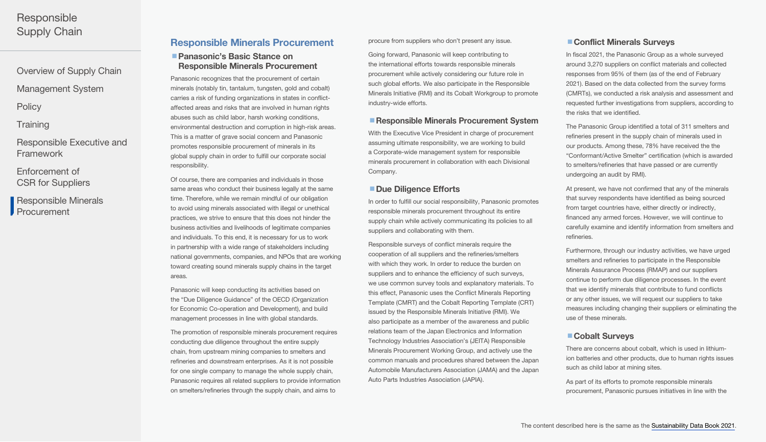<span id="page-4-0"></span>[Overview of Supply Chain](#page-0-0)

[Management System](#page-1-0)

**[Policy](#page-1-0)** 

**[Training](#page-2-0)** 

[Responsible Executive and](#page-2-0)  Framework

Enforcement of [CSR for Suppliers](#page-2-0)

Responsible Minerals **Procurement** 

### Responsible Minerals Procurement

### ■ Panasonic's Basic Stance on Responsible Minerals Procurement

Panasonic recognizes that the procurement of certain minerals (notably tin, tantalum, tungsten, gold and cobalt) carries a risk of funding organizations in states in conflictaffected areas and risks that are involved in human rights abuses such as child labor, harsh working conditions, environmental destruction and corruption in high-risk areas. This is a matter of grave social concern and Panasonic promotes responsible procurement of minerals in its global supply chain in order to fulfill our corporate social responsibility.

Of course, there are companies and individuals in those same areas who conduct their business legally at the same time. Therefore, while we remain mindful of our obligation to avoid using minerals associated with illegal or unethical practices, we strive to ensure that this does not hinder the business activities and livelihoods of legitimate companies and individuals. To this end, it is necessary for us to work in partnership with a wide range of stakeholders including national governments, companies, and NPOs that are working toward creating sound minerals supply chains in the target areas.

Panasonic will keep conducting its activities based on the "Due Diligence Guidance" of the OECD (Organization for Economic Co-operation and Development), and build management processes in line with global standards.

The promotion of responsible minerals procurement requires conducting due diligence throughout the entire supply chain, from upstream mining companies to smelters and refineries and downstream enterprises. As it is not possible for one single company to manage the whole supply chain, Panasonic requires all related suppliers to provide information on smelters/refineries through the supply chain, and aims to

procure from suppliers who don't present any issue.

Going forward, Panasonic will keep contributing to the international efforts towards responsible minerals procurement while actively considering our future role in such global efforts. We also participate in the Responsible Minerals Initiative (RMI) and its Cobalt Workgroup to promote industry-wide efforts.

#### ■ Responsible Minerals Procurement System

With the Executive Vice President in charge of procurement assuming ultimate responsibility, we are working to build a Corporate-wide management system for responsible minerals procurement in collaboration with each Divisional Company.

### ■ Due Diligence Efforts

In order to fulfill our social responsibility, Panasonic promotes responsible minerals procurement throughout its entire supply chain while actively communicating its policies to all suppliers and collaborating with them.

Responsible surveys of conflict minerals require the cooperation of all suppliers and the refineries/smelters with which they work. In order to reduce the burden on suppliers and to enhance the efficiency of such surveys, we use common survey tools and explanatory materials. To this effect, Panasonic uses the Conflict Minerals Reporting Template (CMRT) and the Cobalt Reporting Template (CRT) issued by the Responsible Minerals Initiative (RMI). We also participate as a member of the awareness and public relations team of the Japan Electronics and Information Technology Industries Association's (JEITA) Responsible Minerals Procurement Working Group, and actively use the common manuals and procedures shared between the Japan Automobile Manufacturers Association (JAMA) and the Japan Auto Parts Industries Association (JAPIA).

### ■ Conflict Minerals Surveys

In fiscal 2021, the Panasonic Group as a whole surveyed around 3,270 suppliers on conflict materials and collected responses from 95% of them (as of the end of February 2021). Based on the data collected from the survey forms (CMRTs), we conducted a risk analysis and assessment and requested further investigations from suppliers, according to the risks that we identified.

The Panasonic Group identified a total of 311 smelters and refineries present in the supply chain of minerals used in our products. Among these, 78% have received the the "Conformant/Active Smelter" certification (which is awarded to smelters/refineries that have passed or are currently undergoing an audit by RMI).

At present, we have not confirmed that any of the minerals that survey respondents have identified as being sourced from target countries have, either directly or indirectly, financed any armed forces. However, we will continue to carefully examine and identify information from smelters and refineries.

Furthermore, through our industry activities, we have urged smelters and refineries to participate in the Responsible Minerals Assurance Process (RMAP) and our suppliers continue to perform due diligence processes. In the event that we identify minerals that contribute to fund conflicts or any other issues, we will request our suppliers to take measures including changing their suppliers or eliminating the use of these minerals.

#### ■ Cobalt Surveys

There are concerns about cobalt, which is used in lithiumion batteries and other products, due to human rights issues such as child labor at mining sites.

As part of its efforts to promote responsible minerals procurement, Panasonic pursues initiatives in line with the